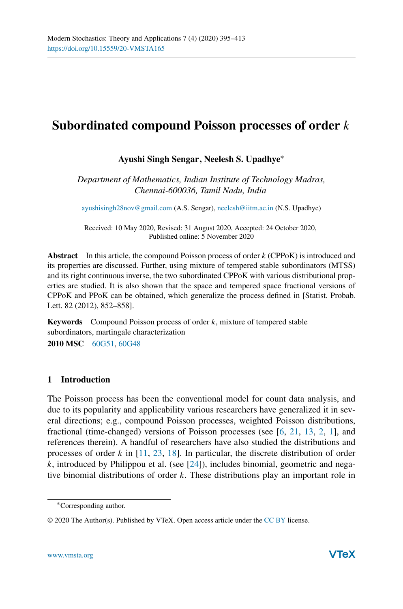# **Subordinated compound Poisson processes of order** k

# **Ayushi Singh Sengar, Neelesh S. Upadhye**∗

*Department of Mathematics, Indian Institute of Technology Madras, Chennai-600036, Tamil Nadu, India*

ayushisingh28nov@gmail.com (A.S. Sengar), neelesh@iitm.ac.in (N.S. Upadhye)

Received: 10 May 2020, Revised: 31 August 2020, Accepted: 24 October 2020, Published online: 5 November 2020

**Abstract** In this article, the compound Poisson process of order k (CPPoK) is introduced and its properties are discussed. Further, using mixture of tempered stable subordinators (MTSS) and its right continuous inverse, the two subordinated CPPoK with various distributional properties are studied. It is also shown that the space and tempered space fractional versions of CPPoK and PPoK can be obtained, which generalize the process defined in [Statist. Probab. Lett. 82 (2012), 852–858].

**Keywords** Compound Poisson process of order k, mixture of tempered stable subordinators, martingale characterization

**2010 MSC** 60G51, 60G48

# **1 Introduction**

The Poisson process has been the conventional model for count data analysis, and due to its popularity and applicability various researchers have generalized it in several directions; e.g., compound Poisson processes, weighted Poisson distributions, fractional (time-changed) versions of Poisson processes (see [6, 21, 13, 2, 1], and references therein). A handful of researchers have also studied the distributions and processes of order  $k$  in [11, 23, 18]. In particular, the discrete distribution of order  $k$ , introduced by Philippou et al. (see [24]), includes binomial, geometric and negative binomial distributions of order  $k$ . These distributions play an important role in

<sup>∗</sup>Corresponding author.

<sup>© 2020</sup> The Author(s). Published by VTeX. Open access article under the CC BY license.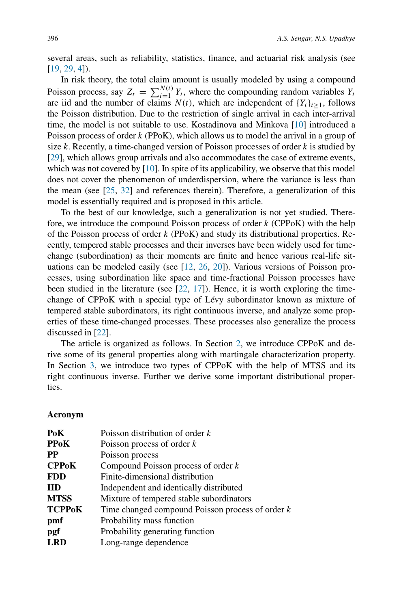several areas, such as reliability, statistics, finance, and actuarial risk analysis (see [19, 29, 4]).

In risk theory, the total claim amount is usually modeled by using a compound Poisson process, say  $Z_t = \sum_{i=1}^{N(t)}$  $Y_{i=1}^{N(t)} Y_i$ , where the compounding random variables  $Y_i$ are iid and the number of claims  $N(t)$ , which are independent of  ${Y_i}_{i>1}$ , follows the Poisson distribution. Due to the restriction of single arrival in each inter-arrival time, the model is not suitable to use. Kostadinova and Minkova [10] introduced a Poisson process of order k (PPoK), which allows us to model the arrival in a group of size k. Recently, a time-changed version of Poisson processes of order  $k$  is studied by [29], which allows group arrivals and also accommodates the case of extreme events, which was not covered by [10]. In spite of its applicability, we observe that this model does not cover the phenomenon of underdispersion, where the variance is less than the mean (see [25, 32] and references therein). Therefore, a generalization of this model is essentially required and is proposed in this article.

To the best of our knowledge, such a generalization is not yet studied. Therefore, we introduce the compound Poisson process of order  $k$  (CPPoK) with the help of the Poisson process of order  $k$  (PPoK) and study its distributional properties. Recently, tempered stable processes and their inverses have been widely used for timechange (subordination) as their moments are finite and hence various real-life situations can be modeled easily (see [12, 26, 20]). Various versions of Poisson processes, using subordination like space and time-fractional Poisson processes have been studied in the literature (see [22, 17]). Hence, it is worth exploring the timechange of CPPoK with a special type of Lévy subordinator known as mixture of tempered stable subordinators, its right continuous inverse, and analyze some properties of these time-changed processes. These processes also generalize the process discussed in [22].

The article is organized as follows. In Section 2, we introduce CPPoK and derive some of its general properties along with martingale characterization property. In Section 3, we introduce two types of CPPoK with the help of MTSS and its right continuous inverse. Further we derive some important distributional properties.

# **Acronym**

| PoK           | Poisson distribution of order $k$                  |  |  |  |
|---------------|----------------------------------------------------|--|--|--|
| <b>PPoK</b>   | Poisson process of order $k$                       |  |  |  |
| PP            | Poisson process                                    |  |  |  |
| <b>CPPoK</b>  | Compound Poisson process of order $k$              |  |  |  |
| <b>FDD</b>    | Finite-dimensional distribution                    |  |  |  |
| <b>IID</b>    | Independent and identically distributed            |  |  |  |
| <b>MTSS</b>   | Mixture of tempered stable subordinators           |  |  |  |
| <b>TCPPoK</b> | Time changed compound Poisson process of order $k$ |  |  |  |
| pmf           | Probability mass function                          |  |  |  |
| pgf           | Probability generating function                    |  |  |  |
| <b>LRD</b>    | Long-range dependence                              |  |  |  |
|               |                                                    |  |  |  |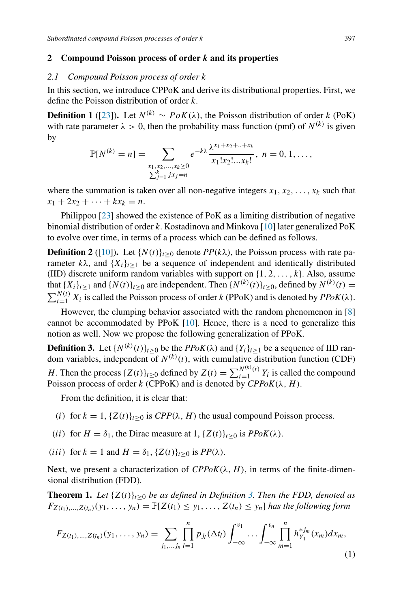## **2 Compound Poisson process of order** k **and its properties**

#### *2.1 Compound Poisson process of order* k

In this section, we introduce CPPoK and derive its distributional properties. First, we define the Poisson distribution of order k.

**Definition 1** ([23]). Let  $N^{(k)} \sim PoK(\lambda)$ , the Poisson distribution of order k (PoK) with rate parameter  $\lambda > 0$ , then the probability mass function (pmf) of  $N^{(k)}$  is given by

$$
\mathbb{P}[N^{(k)} = n] = \sum_{\substack{x_1, x_2, ..., x_k \ge 0 \\ \sum_{j=1}^k jx_j = n}} e^{-k\lambda} \frac{\lambda^{x_1 + x_2 + ... + x_k}}{x_1! x_2! ... x_k!}, \quad n = 0, 1, ...,
$$

where the summation is taken over all non-negative integers  $x_1, x_2, \ldots, x_k$  such that  $x_1 + 2x_2 + \cdots + kx_k = n.$ 

Philippou [23] showed the existence of PoK as a limiting distribution of negative binomial distribution of order k. Kostadinova and Minkova [10] later generalized PoK to evolve over time, in terms of a process which can be defined as follows.

**Definition 2** ([10]). Let  $\{N(t)\}_{t>0}$  denote  $PP(k\lambda)$ , the Poisson process with rate parameter  $k\lambda$ , and  $\{X_i\}_{i\geq 1}$  be a sequence of independent and identically distributed (IID) discrete uniform random variables with support on  $\{1, 2, \ldots, k\}$ . Also, assume that  $\{X_i\}_{i\geq 1}$  and  $\{N(t)\}_{t\geq 0}$  are independent. Then  $\{N^{(k)}(t)\}_{t\geq 0}$ , defined by  $N^{(k)}(t)$  =  $\sum_{i=1}^{N(t)} X_i$  is called the Poisson process of order k (PPoK) and is denoted by  $PPoK(\lambda)$ .

However, the clumping behavior associated with the random phenomenon in [8] cannot be accommodated by PPoK [10]. Hence, there is a need to generalize this notion as well. Now we propose the following generalization of PPoK.

**Definition 3.** Let  $\{N^{(k)}(t)\}_{t\geq 0}$  be the *PPoK*( $\lambda$ ) and  $\{Y_i\}_{i\geq 1}$  be a sequence of IID random variables, independent of  $N^{(k)}(t)$ , with cumulative distribution function (CDF) H. Then the process  $\{Z(t)\}_{t\geq 0}$  defined by  $Z(t) = \sum_{i=1}^{N^{(k)}(t)}$  $\sum_{i=1}^{N^{(1)}(i)} Y_i$  is called the compound Poisson process of order k (CPPoK) and is denoted by  $CPPoK(\lambda, H)$ .

From the definition, it is clear that:

- (i) for  $k = 1$ ,  $\{Z(t)\}_{t \geq 0}$  is  $CPP(\lambda, H)$  the usual compound Poisson process.
- (*ii*) for  $H = \delta_1$ , the Dirac measure at 1,  $\{Z(t)\}_{t\geq 0}$  is  $PPoK(\lambda)$ .
- (iii) for  $k = 1$  and  $H = \delta_1$ ,  $\{Z(t)\}_{t\geq 0}$  is  $PP(\lambda)$ .

Next, we present a characterization of  $CPPoK(\lambda, H)$ , in terms of the finite-dimensional distribution (FDD).

**Theorem 1.** *Let*  $\{Z(t)\}_{t>0}$  *be as defined in Definition* 3. *Then the FDD, denoted as*  $F_{Z(t_1),...,Z(t_n)}(y_1,...,y_n) = \mathbb{P}[Z(t_1) \leq y_1,...,Z(t_n) \leq y_n]$  *has the following form* 

$$
F_{Z(t_1),...,Z(t_n)}(y_1,...,y_n) = \sum_{j_1,...,j_n} \prod_{l=1}^n p_{j_l}(\Delta t_l) \int_{-\infty}^{v_1} \cdots \int_{-\infty}^{v_n} \prod_{m=1}^n h_{Y_1}^{*j_m}(x_m) dx_m,
$$
\n(1)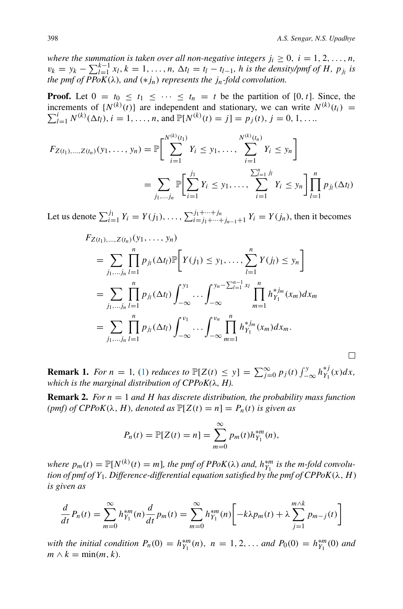$\Box$ 

*where the summation is taken over all non-negative integers*  $j_i \geq 0$ ,  $i = 1, 2, \ldots, n$ ,  $v_k = y_k - \sum_{l=1}^{k-1} x_l, k = 1, ..., n, \Delta t_l = t_l - t_{l-1}$ , *h is the density/pmf of H, p<sub>jl</sub> is the pmf of PPoK*(λ)*, and* (∗jn) *represents the* jn*-fold convolution.*

**Proof.** Let  $0 = t_0 \le t_1 \le \cdots \le t_n = t$  be the partition of [0, t]. Since, the increments of  $\{N^{(k)}(t)\}$  are independent and stationary, we can write  $N^{(k)}(t_i) = \sum_{k=1}^{k} N^{(k)}(t_i)$  $\sum_{l=1}^{i} N^{(k)}(\Delta t_l), i = 1, ..., n$ , and  $\mathbb{P}[N^{(k)}(t) = j] = p_j(t), j = 0, 1, ...$ 

$$
F_{Z(t_1),...,Z(t_n)}(y_1,...,y_n) = \mathbb{P}\bigg[\sum_{i=1}^{N^{(k)}(t_1)} Y_i \le y_1, ..., \sum_{i=1}^{N^{(k)}(t_n)} Y_i \le y_n\bigg]
$$
  
= 
$$
\sum_{j_1,...,j_n} \mathbb{P}\bigg[\sum_{i=1}^{j_1} Y_i \le y_1, ..., \sum_{i=1}^{N^{(k)}(t_n)} Y_i \le y_n\bigg]\prod_{l=1}^n p_{j_l}(\Delta t_l)
$$

Let us denote  $\sum_{i=1}^{j_1}$  $j_1^{j_1} Y_i = Y(j_1), \ldots, \sum_{i=j_1+\cdots+i_n}^{j_1+\cdots+j_n}$  $\lim_{i=j_1+\cdots+j_{n-1}+1} Y_i = Y(j_n)$ , then it becomes

$$
F_{Z(t_1),...,Z(t_n)}(y_1,..., y_n)
$$
  
=  $\sum_{j_1,...,j_n} \prod_{l=1}^n p_{j_l}(\Delta t_l) \mathbb{P}\Bigg[ Y(j_1) \le y_1, ..., \sum_{l=1}^n Y(j_l) \le y_n \Bigg]$   
=  $\sum_{j_1,...,j_n} \prod_{l=1}^n p_{j_l}(\Delta t_l) \int_{-\infty}^{y_1} ... \int_{-\infty}^{y_n - \sum_{l=1}^{n-1} x_l} \prod_{m=1}^n h_{Y_1}^{*j_m}(x_m) dx_m$   
=  $\sum_{j_1,...,j_n} \prod_{l=1}^n p_{j_l}(\Delta t_l) \int_{-\infty}^{v_1} ... \int_{-\infty}^{v_n} \prod_{m=1}^n h_{Y_1}^{*j_m}(x_m) dx_m$ .

**Remark 1.** *For*  $n = 1$ , (1) *reduces to*  $\mathbb{P}[Z(t) \le y] = \sum_{j=0}^{\infty} p_j(t) \int_{-\infty}^{y} h_{Y_1}^{*j}(x) dx$ , *which is the marginal distribution of CPPoK(*λ*, H).*

**Remark 2.** *For* n = 1 *and* H *has discrete distribution, the probability mass function (pmf) of CPPoK*( $\lambda$ , *H*)*, denoted as*  $\mathbb{P}[Z(t) = n] = P_n(t)$  *is given as* 

$$
P_n(t) = \mathbb{P}[Z(t) = n] = \sum_{m=0}^{\infty} p_m(t) h_{Y_1}^{*m}(n),
$$

*where*  $p_m(t) = \mathbb{P}[N^{(k)}(t) = m]$ *, the pmf of PPoK*( $\lambda$ ) *and,*  $h_{Y_1}^{*m}$  *is the m-fold convolution of pmf of*  $Y_1$ *. Difference-differential equation satisfied by the pmf of CPPoK* $(\lambda, H)$ *is given as*

$$
\frac{d}{dt}P_n(t) = \sum_{m=0}^{\infty} h_{Y_1}^{*m}(n) \frac{d}{dt} p_m(t) = \sum_{m=0}^{\infty} h_{Y_1}^{*m}(n) \left[ -k\lambda p_m(t) + \lambda \sum_{j=1}^{m \wedge k} p_{m-j}(t) \right]
$$

*with the initial condition*  $P_n(0) = h_{Y_1}^{*m}(n)$ ,  $n = 1, 2, ...$  *and*  $P_0(0) = h_{Y_1}^{*m}(0)$  *and*  $m \wedge k = \min(m, k)$ .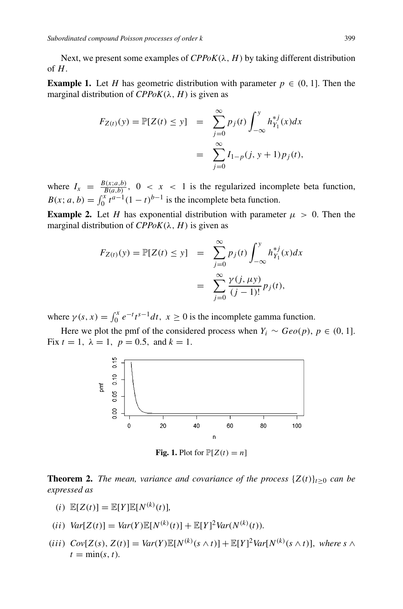Next, we present some examples of  $CPPoK(\lambda, H)$  by taking different distribution of  $H$ .

**Example 1.** Let H has geometric distribution with parameter  $p \in (0, 1]$ . Then the marginal distribution of  $CPPoK(\lambda, H)$  is given as

$$
F_{Z(t)}(y) = \mathbb{P}[Z(t) \le y] = \sum_{j=0}^{\infty} p_j(t) \int_{-\infty}^{y} h_{Y_1}^{*j}(x) dx
$$
  
= 
$$
\sum_{j=0}^{\infty} I_{1-p}(j, y+1) p_j(t),
$$

where  $I_x = \frac{B(x; a, b)}{B(a, b)}$ ,  $0 < x < 1$  is the regularized incomplete beta function,  $B(x; a, b) = \int_0^x t^{a-1}(1-t)^{b-1}$  is the incomplete beta function.

**Example 2.** Let H has exponential distribution with parameter  $\mu > 0$ . Then the marginal distribution of  $CPPoK(\lambda, H)$  is given as

$$
F_{Z(t)}(y) = \mathbb{P}[Z(t) \le y] = \sum_{j=0}^{\infty} p_j(t) \int_{-\infty}^{y} h_{Y_1}^{*j}(x) dx
$$
  
= 
$$
\sum_{j=0}^{\infty} \frac{\gamma(j, \mu y)}{(j-1)!} p_j(t),
$$

where  $\gamma(s, x) = \int_0^x e^{-t} t^{s-1} dt$ ,  $x \ge 0$  is the incomplete gamma function.

Here we plot the pmf of the considered process when  $Y_i \sim \text{Geo}(p)$ ,  $p \in (0, 1]$ . Fix  $t = 1$ ,  $\lambda = 1$ ,  $p = 0.5$ , and  $k = 1$ .



**Fig. 1.** Plot for  $\mathbb{P}[Z(t) = n]$ 

**Theorem 2.** *The mean, variance and covariance of the process*  $\{Z(t)\}_{t\geq0}$  *can be expressed as*

- (i)  $\mathbb{E}[Z(t)] = \mathbb{E}[Y] \mathbb{E}[N^{(k)}(t)],$
- $(iii) \ Var[Z(t)] = Var(Y)\mathbb{E}[N^{(k)}(t)] + \mathbb{E}[Y]^2 Var(N^{(k)}(t)).$
- $(iii) \ Cov[Z(s), Z(t)] = Var(Y) \mathbb{E}[N^{(k)}(s \wedge t)] + \mathbb{E}[Y]^2 Var[N^{(k)}(s \wedge t)], \text{ where } s \wedge t$  $t = \min(s, t)$ .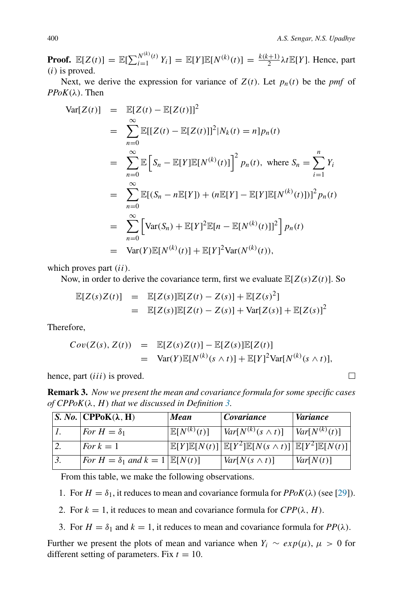$\Box$ 

**Proof.**  $\mathbb{E}[Z(t)] = \mathbb{E}[\sum_{i=1}^{N^{(k)}(t)}$  $\sum_{i=1}^{N^{(k)}(t)} Y_i$ ] =  $\mathbb{E}[Y] \mathbb{E}[N^{(k)}(t)] = \frac{k(k+1)}{2} \lambda t \mathbb{E}[Y]$ . Hence, part  $(i)$  is proved.

Next, we derive the expression for variance of  $Z(t)$ . Let  $p_n(t)$  be the *pmf* of  $PPoK(\lambda)$ . Then

$$
\begin{array}{rcl}\n\text{Var}[Z(t)] & = & \mathbb{E}[Z(t) - \mathbb{E}[Z(t)]]^2 \\
& = & \sum_{n=0}^{\infty} \mathbb{E}[[Z(t) - \mathbb{E}[Z(t)]]^2 | N_k(t) = n] p_n(t) \\
& = & \sum_{n=0}^{\infty} \mathbb{E}\left[S_n - \mathbb{E}[Y] \mathbb{E}[N^{(k)}(t)]\right]^2 p_n(t), \text{ where } S_n = \sum_{i=1}^n Y_i \\
& = & \sum_{n=0}^{\infty} \mathbb{E}[(S_n - n\mathbb{E}[Y]) + (n\mathbb{E}[Y] - \mathbb{E}[Y]\mathbb{E}[N^{(k)}(t)])]^2 p_n(t) \\
& = & \sum_{n=0}^{\infty} \left[\text{Var}(S_n) + \mathbb{E}[Y]^2 \mathbb{E}[n - \mathbb{E}[N^{(k)}(t)]]^2\right] p_n(t) \\
& = & \text{Var}(Y)\mathbb{E}[N^{(k)}(t)] + \mathbb{E}[Y]^2 \text{Var}(N^{(k)}(t)),\n\end{array}
$$

which proves part  $(ii)$ .

Now, in order to derive the covariance term, first we evaluate  $\mathbb{E}[Z(s)Z(t)]$ . So

$$
\mathbb{E}[Z(s)Z(t)] = \mathbb{E}[Z(s)]\mathbb{E}[Z(t) - Z(s)] + \mathbb{E}[Z(s)^{2}] \n= \mathbb{E}[Z(s)]\mathbb{E}[Z(t) - Z(s)] + \text{Var}[Z(s)] + \mathbb{E}[Z(s)]^{2}
$$

Therefore,

$$
Cov(Z(s), Z(t)) = \mathbb{E}[Z(s)Z(t)] - \mathbb{E}[Z(s)]\mathbb{E}[Z(t)]
$$
  
= Var(Y)\mathbb{E}[N^{(k)}(s \wedge t)] + \mathbb{E}[Y]^2 Var[N^{(k)}(s \wedge t)],

hence, part *(iii)* is proved.

**Remark 3.** *Now we present the mean and covariance formula for some specific cases*  $of$   $CPPoK(\lambda, H)$  *that we discussed in Definition 3.* 

| S. No. $\mathbb{CP}PoK(\lambda, H)$             | <b>Mean</b>              | Covariance                                                                                                         | <i>Variance</i>   |
|-------------------------------------------------|--------------------------|--------------------------------------------------------------------------------------------------------------------|-------------------|
| For $H = \delta_1$                              | $\mathbb{E}[N^{(k)}(t)]$ | $Var[N^{(k)}(s \wedge t)]$                                                                                         | $Var[N^{(k)}(t)]$ |
| For $k=1$                                       |                          | $\mathbb{E}[Y]\mathbb{E}[N(t)]\left[\mathbb{E}[Y^2]\mathbb{E}[N(s\wedge t)]\right]\mathbb{E}[Y^2]\mathbb{E}[N(t)]$ |                   |
| $For H = \delta_1$ and $k = 1 \mathbb{E}[N(t)]$ |                          | $Var[N(s \wedge t)]$                                                                                               | Var[N(t)]         |

From this table, we make the following observations.

1. For  $H = \delta_1$ , it reduces to mean and covariance formula for  $PPoK(\lambda)$  (see [29]).

2. For  $k = 1$ , it reduces to mean and covariance formula for  $CPP(\lambda, H)$ .

3. For  $H = \delta_1$  and  $k = 1$ , it reduces to mean and covariance formula for  $PP(\lambda)$ .

Further we present the plots of mean and variance when  $Y_i \sim exp(\mu)$ ,  $\mu > 0$  for different setting of parameters. Fix  $t = 10$ .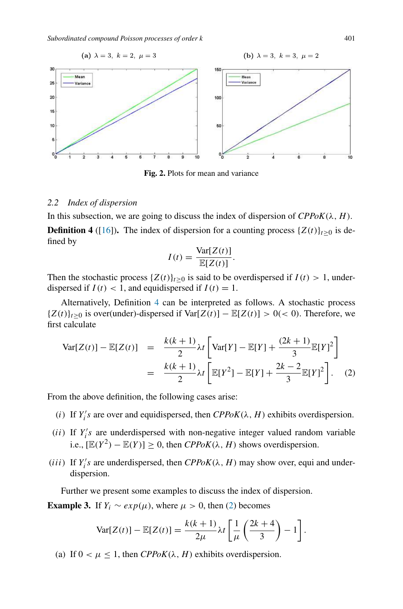*Subordinated compound Poisson processes of order* k 401



**Fig. 2.** Plots for mean and variance

## *2.2 Index of dispersion*

In this subsection, we are going to discuss the index of dispersion of  $CPPoK(\lambda, H)$ . **Definition 4** ([16]). The index of dispersion for a counting process  $\{Z(t)\}_{t\geq0}$  is defined by

$$
I(t) = \frac{\text{Var}[Z(t)]}{\mathbb{E}[Z(t)]}.
$$

Then the stochastic process  $\{Z(t)\}_{t\geq 0}$  is said to be overdispersed if  $I(t) > 1$ , underdispersed if  $I(t) < 1$ , and equidispersed if  $I(t) = 1$ .

Alternatively, Definition 4 can be interpreted as follows. A stochastic process  ${Z(t)}_{t>0}$  is over(under)-dispersed if  $Var[Z(t)] - E[Z(t)] > 0$ (< 0). Therefore, we first calculate

$$
\begin{split} \text{Var}[Z(t)] - \mathbb{E}[Z(t)] &= \frac{k(k+1)}{2} \lambda t \left[ \text{Var}[Y] - \mathbb{E}[Y] + \frac{(2k+1)}{3} \mathbb{E}[Y]^2 \right] \\ &= \frac{k(k+1)}{2} \lambda t \left[ \mathbb{E}[Y^2] - \mathbb{E}[Y] + \frac{2k-2}{3} \mathbb{E}[Y]^2 \right]. \end{split} \tag{2}
$$

From the above definition, the following cases arise:

- (i) If  $Y_i$ 's are over and equidispersed, then  $CPPoK(\lambda, H)$  exhibits overdispersion.
- (*ii*) If  $Y_i$ 's are underdispersed with non-negative integer valued random variable i.e.,  $[\mathbb{E}(Y^2) - \mathbb{E}(Y)] \ge 0$ , then *CPPoK*( $\lambda$ , *H*) shows overdispersion.
- (*iii*) If  $Y_i$ 's are underdispersed, then  $CPPoK(\lambda, H)$  may show over, equi and underdispersion.

Further we present some examples to discuss the index of dispersion.

**Example 3.** If  $Y_i \sim exp(\mu)$ , where  $\mu > 0$ , then (2) becomes

$$
\text{Var}[Z(t)] - \mathbb{E}[Z(t)] = \frac{k(k+1)}{2\mu} \lambda t \left[ \frac{1}{\mu} \left( \frac{2k+4}{3} \right) - 1 \right].
$$

(a) If  $0 < \mu \leq 1$ , then *CPPoK*( $\lambda$ , *H*) exhibits overdispersion.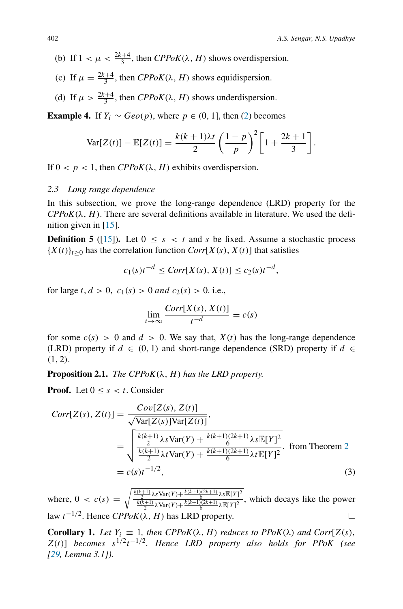- (b) If  $1 < \mu < \frac{2k+4}{3}$ , then *CPPoK*( $\lambda$ , *H*) shows overdispersion.
- (c) If  $\mu = \frac{2k+4}{3}$ , then *CPPoK*( $\lambda$ , *H*) shows equidispersion.
- (d) If  $\mu > \frac{2k+4}{3}$ , then *CPPoK*( $\lambda$ , *H*) shows underdispersion.

**Example 4.** If  $Y_i \sim Geo(p)$ , where  $p \in (0, 1]$ , then (2) becomes

$$
\text{Var}[Z(t)] - \mathbb{E}[Z(t)] = \frac{k(k+1)\lambda t}{2} \left(\frac{1-p}{p}\right)^2 \left[1 + \frac{2k+1}{3}\right].
$$

If  $0 < p < 1$ , then *CPPoK*( $\lambda$ , *H*) exhibits overdispersion.

## *2.3 Long range dependence*

In this subsection, we prove the long-range dependence (LRD) property for the  $CPPoK(\lambda, H)$ . There are several definitions available in literature. We used the definition given in  $[15]$ .

**Definition 5** ([15]). Let  $0 \leq s < t$  and s be fixed. Assume a stochastic process  ${X(t)}_{t>0}$  has the correlation function *Corr*[X(s), X(t)] that satisfies

$$
c_1(s)t^{-d} \leq Corr[X(s), X(t)] \leq c_2(s)t^{-d},
$$

for large t,  $d > 0$ ,  $c_1(s) > 0$  and  $c_2(s) > 0$ . i.e.,

$$
\lim_{t \to \infty} \frac{Corr[X(s), X(t)]}{t^{-d}} = c(s)
$$

for some  $c(s) > 0$  and  $d > 0$ . We say that,  $X(t)$  has the long-range dependence (LRD) property if  $d \in (0, 1)$  and short-range dependence (SRD) property if  $d \in$  $(1, 2)$ .

**Proposition 2.1.** *The CPPoK* $(\lambda, H)$  *has the LRD property.* 

**Proof.** Let  $0 \leq s \leq t$ . Consider

$$
Corr[Z(s), Z(t)] = \frac{Cov[Z(s), Z(t)]}{\sqrt{\text{Var}[Z(s)]\text{Var}[Z(t)]}},
$$
  
= 
$$
\sqrt{\frac{\frac{k(k+1)}{2}\lambda s\text{Var}(Y) + \frac{k(k+1)(2k+1)}{6}\lambda s\mathbb{E}[Y]^2}{\frac{k(k+1)}{2}\lambda t\text{Var}(Y) + \frac{k(k+1)(2k+1)}{6}\lambda t\mathbb{E}[Y]^2}}, \text{ from Theorem 2}
$$
  
=  $c(s)t^{-1/2}$ , (3)

where,  $0 < c(s) = \sqrt{\frac{k(k+1)}{k(k+1)} \lambda s \text{Var}(Y) + \frac{k(k+1)(2k+1)}{k(k+1)} \lambda s \mathbb{E}[Y]^2}$  $\frac{\lambda(k+1)}{\lambda(k+1)} \frac{1}{\lambda \text{Var}(Y) + \frac{k(k+1)(2k+1)}{6} \lambda \mathbb{E}[Y]^2}$ , which decays like the power law  $t^{-1/2}$ . Hence  $CPPoK(\lambda, H)$  has LRD property.  $\Box$ 

**Corollary 1.** *Let*  $Y_i \equiv 1$ *, then CPPoK*( $\lambda$ *, H*) *reduces to PPoK*( $\lambda$ ) *and Corr*[ $Z(s)$ *,*  $Z(t)$ ] *becomes*  $s^{1/2}t^{-1/2}$ . Hence LRD property also holds for PPoK (see *[29, Lemma 3.1]).*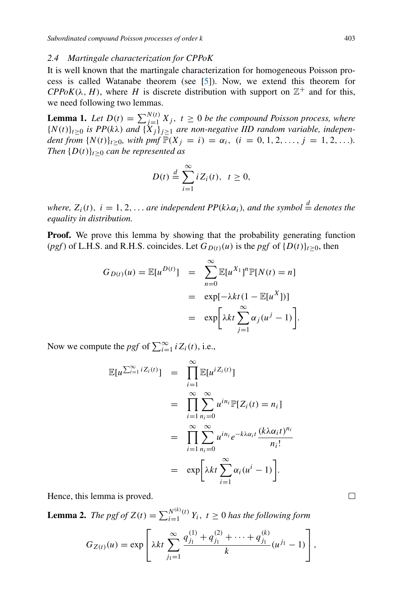#### *2.4 Martingale characterization for CPPoK*

It is well known that the martingale characterization for homogeneous Poisson process is called Watanabe theorem (see [5]). Now, we extend this theorem for  $CPPoK(\lambda, H)$ , where *H* is discrete distribution with support on  $\mathbb{Z}^+$  and for this, we need following two lemmas.

**Lemma 1.** Let  $D(t) = \sum_{i=1}^{N(t)} X_i$ ,  $t \ge 0$  be the compound Poisson process, where  ${N(t)}_{t\geq0}$  *is PP*( $k\lambda$ ) *and*  ${X_j}_{j\geq1}$  *are non-negative IID random variable, independent from*  $\{N(t)\}_{t\geq0}$ *, with pmf*  $\mathbb{P}(X_j = i) = \alpha_i$ ,  $(i = 0, 1, 2, ..., j = 1, 2, ...)$ *. Then*  $\{D(t)\}_{t>0}$  *can be represented as* 

$$
D(t) \stackrel{d}{=} \sum_{i=1}^{\infty} i Z_i(t), \ \ t \geq 0,
$$

*where,*  $Z_i(t)$ ,  $i = 1, 2, \ldots$  *are independent PP*( $k\lambda \alpha_i$ )*, and the symbol*  $\stackrel{d}{=}$  *denotes the equality in distribution.*

**Proof.** We prove this lemma by showing that the probability generating function (*pgf*) of L.H.S. and R.H.S. coincides. Let  $G_{D(t)}(u)$  is the *pgf* of  $\{D(t)\}_{t>0}$ , then

$$
G_{D(t)}(u) = \mathbb{E}[u^{D(t)}] = \sum_{n=0}^{\infty} \mathbb{E}[u^{X_1}]^n \mathbb{P}[N(t) = n]
$$
  
=  $\exp[-\lambda kt(1 - \mathbb{E}[u^X])]$   
=  $\exp[\lambda kt \sum_{j=1}^{\infty} \alpha_j(u^j - 1)].$ 

Now we compute the *pgf* of  $\sum_{i=1}^{\infty} i Z_i(t)$ , i.e.,

$$
\mathbb{E}[u^{\sum_{i=1}^{\infty}iZ_i(t)}] = \prod_{i=1}^{\infty} \mathbb{E}[u^{iZ_i(t)}]
$$
  
\n
$$
= \prod_{i=1}^{\infty} \sum_{n_i=0}^{\infty} u^{in_i} \mathbb{P}[Z_i(t) = n_i]
$$
  
\n
$$
= \prod_{i=1}^{\infty} \sum_{n_i=0}^{\infty} u^{in_i} e^{-k\lambda \alpha_i t} \frac{(k\lambda \alpha_i t)^{n_i}}{n_i!}
$$
  
\n
$$
= \exp\left[\lambda kt \sum_{i=1}^{\infty} \alpha_i (u^i - 1)\right].
$$

Hence, this lemma is proved.

**Lemma 2.** *The pgf of*  $Z(t) = \sum_{i=1}^{N^{(k)}(t)}$  $\sum_{i=1}^{N\setminus\{i\}} Y_i$ ,  $t \geq 0$  has the following form

$$
G_{Z(t)}(u) = \exp \left[ \lambda kt \sum_{j_1=1}^{\infty} \frac{q_{j_1}^{(1)} + q_{j_1}^{(2)} + \cdots + q_{j_1}^{(k)}}{k} (u^{j_1} - 1) \right],
$$

□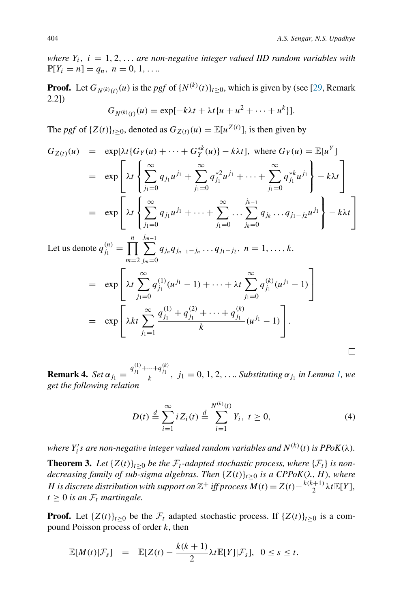$\Box$ 

*where*  $Y_i$ ,  $i = 1, 2, \ldots$  *are non-negative integer valued IID random variables with*  $\mathbb{P}[Y_i = n] = q_n, n = 0, 1, \ldots$ 

**Proof.** Let  $G_{N(k)(t)}(u)$  is the *pgf* of  $\{N^{(k)}(t)\}_{t\geq 0}$ , which is given by (see [29, Remark] 2.2])

$$
G_{N^{(k)}(t)}(u)=\exp[-k\lambda t+\lambda t\{u+u^2+\cdots+u^k\}].
$$

The *pgf* of  $\{Z(t)\}_{t\geq0}$ , denoted as  $G_{Z(t)}(u) = \mathbb{E}[u^{Z(t)}]$ , is then given by

$$
G_{Z(t)}(u) = \exp[\lambda t \{G_Y(u) + \dots + G_Y^{*k}(u)\} - k\lambda t], \text{ where } G_Y(u) = \mathbb{E}[u^Y]
$$
  
\n
$$
= \exp\left[\lambda t \left\{ \sum_{j_1=0}^{\infty} q_{j_1} u^{j_1} + \sum_{j_1=0}^{\infty} q_{j_1}^{*2} u^{j_1} + \dots + \sum_{j_1=0}^{\infty} q_{j_1}^{*k} u^{j_1} \right\} - k\lambda t \right]
$$
  
\n
$$
= \exp\left[\lambda t \left\{ \sum_{j_1=0}^{\infty} q_{j_1} u^{j_1} + \dots + \sum_{j_1=0}^{\infty} \dots \sum_{j_k=0}^{j_{k-1}} q_{j_k} \dots q_{j_1-j_2} u^{j_1} \right\} - k\lambda t \right]
$$
  
\nLet us denote  $q_{j_1}^{(n)} = \prod_{j_1=0}^{n} \sum_{j_1=0}^{j_{m-1}} q_{j_m} q_{j_{n-1}-j_m} \dots q_{j_1-j_2}, n = 1, \dots, k.$ 

$$
\lim_{m=2} \frac{1}{j_m=0} \left[ \lambda t \sum_{j_1=0}^{\infty} q_{j_1}^{(1)} (u^{j_1} - 1) + \dots + \lambda t \sum_{j_1=0}^{\infty} q_{j_1}^{(k)} (u^{j_1} - 1) \right]
$$
  
= 
$$
\exp \left[ \lambda kt \sum_{j_1=1}^{\infty} \frac{q_{j_1}^{(1)} + q_{j_1}^{(2)} + \dots + q_{j_1}^{(k)}}{k} (u^{j_1} - 1) \right].
$$

**Remark 4.** *Set*  $\alpha_{j_1} = \frac{q_{j_1}^{(1)} + \dots + q_{j_1}^{(k)}}{k}$ ,  $j_1 = 0, 1, 2, \dots$  *Substituting*  $\alpha_{j_1}$  *in Lemma 1, we get the following relation*

$$
D(t) \stackrel{d}{=} \sum_{i=1}^{\infty} i Z_i(t) \stackrel{d}{=} \sum_{i=1}^{N^{(k)}(t)} Y_i, \ t \ge 0,
$$
 (4)

where  $Y_i's$  are non-negative integer valued random variables and  $N^{(k)}(t)$  is  $PPoK(\lambda)$ .

**Theorem 3.** Let  $\{Z(t)\}_{t>0}$  be the  $\mathcal{F}_t$ -adapted stochastic process, where  $\{\mathcal{F}_t\}$  is non*decreasing family of sub-sigma algebras. Then*  $\{Z(t)\}_{t\geq0}$  *is a CPPoK*( $\lambda$ ,  $H$ ), where H is discrete distribution with support on  $\mathbb{Z}^+$  iff process  $M(t) = Z(t) - \frac{k(k+1)}{2} \lambda t \mathbb{E}[Y]$ ,  $t \geq 0$  *is an*  $\mathcal{F}_t$  *martingale.* 

**Proof.** Let  $\{Z(t)\}_{t\geq 0}$  be the  $\mathcal{F}_t$  adapted stochastic process. If  $\{Z(t)\}_{t\geq 0}$  is a compound Poisson process of order  $k$ , then

$$
\mathbb{E}[M(t)|\mathcal{F}_s] = \mathbb{E}[Z(t) - \frac{k(k+1)}{2}\lambda t \mathbb{E}[Y]|\mathcal{F}_s], \quad 0 \leq s \leq t.
$$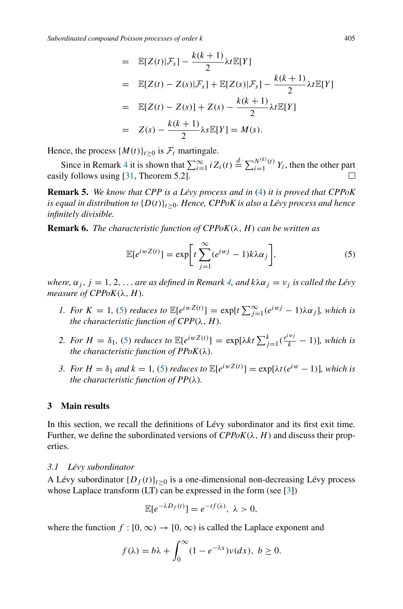$$
= \mathbb{E}[Z(t)|\mathcal{F}_s] - \frac{k(k+1)}{2}\lambda t \mathbb{E}[Y]
$$
  
\n
$$
= \mathbb{E}[Z(t) - Z(s)|\mathcal{F}_s] + \mathbb{E}[Z(s)|\mathcal{F}_s] - \frac{k(k+1)}{2}\lambda t \mathbb{E}[Y]
$$
  
\n
$$
= \mathbb{E}[Z(t) - Z(s)] + Z(s) - \frac{k(k+1)}{2}\lambda t \mathbb{E}[Y]
$$
  
\n
$$
= Z(s) - \frac{k(k+1)}{2}\lambda s \mathbb{E}[Y] = M(s).
$$

Hence, the process  $\{M(t)\}_{t>0}$  is  $\mathcal{F}_t$  martingale.

Since in Remark 4 it is shown that  $\sum_{i=1}^{\infty} i Z_i(t) \stackrel{d}{=} \sum_{i=1}^{N^{(k)}(t)}$  $\sum_{i=1}^{N^{(1)}(i)} Y_i$ , then the other part easily follows using [31, Theorem 5.2].  $\Box$ 

**Remark 5.** *We know that CPP is a Lévy process and in* (4) *it is proved that CPPoK is equal in distribution to*  $\{D(t)\}_{t>0}$ *. Hence, CPPoK is also a Lévy process and hence infinitely divisible.*

**Remark 6.** *The characteristic function of*  $CPPoK(\lambda, H)$  *can be written as* 

$$
\mathbb{E}[e^{iwZ(t)}] = \exp\bigg[t\sum_{j=1}^{\infty} (e^{iwj} - 1)k\lambda\alpha_j\bigg],\tag{5}
$$

*where,*  $\alpha_j$ ,  $j = 1, 2, \ldots$  *are as defined in Remark 4, and k* $\lambda \alpha_j = v_j$  *is called the Lévy measure of CPPoK* $(\lambda, H)$ *.* 

- *1. For*  $K = 1$ , (5) *reduces to*  $\mathbb{E}[e^{iwZ(t)}] = \exp[t \sum_{j=1}^{\infty} (e^{iwj} 1)\lambda \alpha_j]$ *, which is the characteristic function of*  $CPP(\lambda, H)$ *.*
- 2. For  $H = \delta_1$ , (5) *reduces to*  $\mathbb{E}[e^{iwZ(t)}] = \exp[\lambda kt \sum_{j=1}^k (\frac{e^{iwj}}{k} 1)]$ *, which is the characteristic function of PPoK*(λ)*.*
- *3. For*  $H = \delta_1$  *and*  $k = 1$ , (5) *reduces to*  $\mathbb{E}[e^{iwZ(t)}] = \exp[\lambda t (e^{iw} 1)]$ *, which is the characteristic function of*  $PP(\lambda)$ *.*

## **3 Main results**

In this section, we recall the definitions of Lévy subordinator and its first exit time. Further, we define the subordinated versions of  $CPPoK(\lambda, H)$  and discuss their properties.

#### *3.1 Lévy subordinator*

A Lévy subordinator  $\{D_f(t)\}_{t\geq 0}$  is a one-dimensional non-decreasing Lévy process whose Laplace transform (LT) can be expressed in the form (see [3])

$$
\mathbb{E}[e^{-\lambda D_f(t)}] = e^{-tf(\lambda)}, \ \lambda > 0,
$$

where the function  $f : [0, \infty) \to [0, \infty)$  is called the Laplace exponent and

$$
f(\lambda) = b\lambda + \int_0^\infty (1 - e^{-\lambda x}) \nu(dx), \ b \ge 0.
$$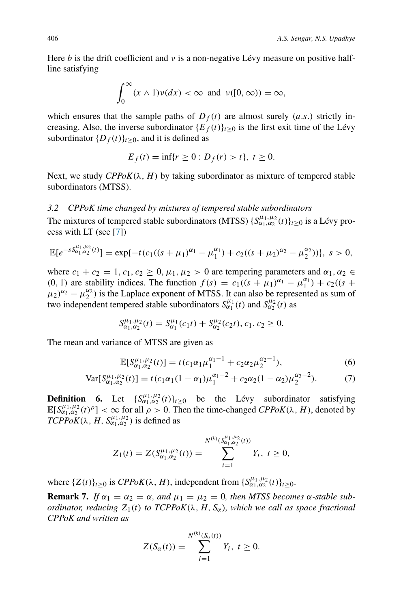Here  $b$  is the drift coefficient and  $v$  is a non-negative Lévy measure on positive halfline satisfying

$$
\int_0^\infty (x \wedge 1) \nu(dx) < \infty \text{ and } \nu([0, \infty)) = \infty,
$$

which ensures that the sample paths of  $D_f(t)$  are almost surely (a.s.) strictly increasing. Also, the inverse subordinator  ${E_f(t)}_{t\geq0}$  is the first exit time of the Lévy subordinator  $\{D_f(t)\}_{t\geq 0}$ , and it is defined as

$$
E_f(t) = \inf\{r \ge 0 : D_f(r) > t\}, t \ge 0.
$$

Next, we study  $CPPoK(\lambda, H)$  by taking subordinator as mixture of tempered stable subordinators (MTSS).

## *3.2 CPPoK time changed by mixtures of tempered stable subordinators*

The mixtures of tempered stable subordinators (MTSS)  $\{S_{\alpha_1,\alpha_2}^{\mu_1,\mu_2}(t)\}_{{}^t\geq0}$  is a Lévy process with LT (see [7])

$$
\mathbb{E}[e^{-sS_{\alpha_1,\alpha_2}^{\mu_1,\mu_2}(t)}] = \exp\{-t(c_1((s+\mu_1)^{\alpha_1}-\mu_1^{\alpha_1}) + c_2((s+\mu_2)^{\alpha_2}-\mu_2^{\alpha_2}))\}, \ s > 0,
$$

where  $c_1 + c_2 = 1$ ,  $c_1$ ,  $c_2 \ge 0$ ,  $\mu_1$ ,  $\mu_2 > 0$  are tempering parameters and  $\alpha_1$ ,  $\alpha_2 \in$ (0, 1) are stability indices. The function  $f(s) = c_1((s + \mu_1)^{\alpha_1} - \mu_1^{\alpha_1}) + c_2((s + \mu_1)^{\alpha_1} - \mu_1^{\alpha_1})$  $(\mu_2)^{\alpha_2} - \mu_2^{\alpha_2}$ ) is the Laplace exponent of MTSS. It can also be represented as sum of two independent tempered stable subordinators  $S^{\mu_1}_{\alpha_1}(t)$  and  $S^{\mu_2}_{\alpha_2}(t)$  as

$$
S^{\mu_1,\mu_2}_{\alpha_1,\alpha_2}(t) = S^{\mu_1}_{\alpha_1}(c_1t) + S^{\mu_2}_{\alpha_2}(c_2t), c_1, c_2 \ge 0.
$$

The mean and variance of MTSS are given as

$$
\mathbb{E}[S_{\alpha_1,\alpha_2}^{\mu_1,\mu_2}(t)] = t(c_1\alpha_1\mu_1^{\alpha_1-1} + c_2\alpha_2\mu_2^{\alpha_2-1}),
$$
\n(6)

$$
\text{Var}[S_{\alpha_1,\alpha_2}^{\mu_1,\mu_2}(t)] = t(c_1\alpha_1(1-\alpha_1)\mu_1^{\alpha_1-2} + c_2\alpha_2(1-\alpha_2)\mu_2^{\alpha_2-2}).\tag{7}
$$

**Definition 6.** Let  $\{S_{\alpha_1,\alpha_2}^{\mu_1,\mu_2}(t)\}_{t\geq 0}$  be the Lévy subordinator satisfying  $\mathbb{E}[S_{\alpha_1,\alpha_2}^{\mu_1,\mu_2}(t)^\rho]<\infty$  for all  $\rho>0$ . Then the time-changed *CPPoK*( $\lambda$ , *H*), denoted by  $TCPPoK(\lambda, H, S^{\mu_1,\mu_2}_{\alpha_1,\alpha_2})$  is defined as

$$
Z_1(t) = Z(S_{\alpha_1,\alpha_2}^{\mu_1,\mu_2}(t)) = \sum_{i=1}^{N^{(k)}(S_{\alpha_1,\alpha_2}^{\mu_1,\mu_2}(t))} Y_i, \ t \ge 0,
$$

where  $\{Z(t)\}_{t\geq 0}$  is  $CPPoK(\lambda, H)$ , independent from  $\{S^{\mu_1,\mu_2}_{\alpha_1,\alpha_2}(t)\}_{t\geq 0}$ .

**Remark 7.** *If*  $\alpha_1 = \alpha_2 = \alpha$ , and  $\mu_1 = \mu_2 = 0$ , then MTSS becomes  $\alpha$ -stable sub*ordinator, reducing*  $Z_1(t)$  *to*  $TCPPoK(\lambda, H, S_\alpha)$ *, which we call as space fractional CPPoK and written as*

$$
Z(S_{\alpha}(t)) = \sum_{i=1}^{N^{(k)}(S_{\alpha}(t))} Y_i, \ t \geq 0.
$$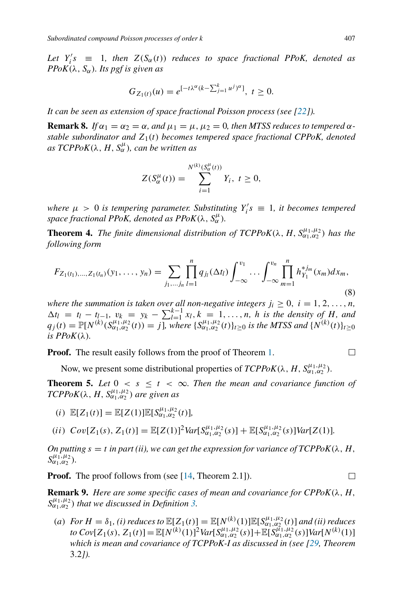Let  $Y_i$ 's  $\equiv$  1*, then*  $Z(S_\alpha(t))$  *reduces to space fractional PPoK, denoted as PPoK* $(\lambda, S_{\alpha})$ *. Its pgf is given as* 

$$
G_{Z_1(t)}(u) = e^{[-t\lambda^{\alpha}(k-\sum_{j=1}^k u^j)^{\alpha}]}, \ t \ge 0.
$$

*It can be seen as extension of space fractional Poisson process (see [22]).*

**Remark 8.** *If*  $\alpha_1 = \alpha_2 = \alpha$ , and  $\mu_1 = \mu$ ,  $\mu_2 = 0$ , then MTSS reduces to tempered  $\alpha$ stable subordinator and  $Z_1(t)$  becomes tempered space fractional CPPoK, denoted  $as \, TCPPoK(\lambda, H, S_\alpha^\mu)$ , can be written as

$$
Z(S_{\alpha}^{\mu}(t)) = \sum_{i=1}^{N^{(k)}(S_{\alpha}^{\mu}(t))} Y_i, \ t \geq 0,
$$

where  $\mu > 0$  is tempering parameter. Substituting  $Y_i$ 's  $\equiv 1$ , it becomes tempered *space fractional PPoK, denoted as PPoK* $(\lambda, S_{\alpha}^{\mu})$ .

**Theorem 4.** *The finite dimensional distribution of TCPPoK*( $\lambda$ ,  $H$ ,  $S_{\alpha_1,\alpha_2}^{\mu_1,\mu_2}$ ) *has the following form*

$$
F_{Z_1(t_1),...,Z_1(t_n)}(y_1,...,y_n) = \sum_{j_1,...,j_n} \prod_{l=1}^n q_{j_l}(\Delta t_l) \int_{-\infty}^{v_1} \cdots \int_{-\infty}^{v_n} \prod_{m=1}^n h_{Y_1}^{*j_m}(x_m) dx_m,
$$
\n(8)

*where the summation is taken over all non-negative integers*  $j_i \geq 0, i = 1, 2, \ldots, n$ ,  $\Delta t_l = t_l - t_{l-1}, v_k = y_k - \sum_{l=1}^{k-1} x_l, k = 1, \ldots, n$ , *h is the density of H, and*<br> $\Delta t_l = \sum_{l=1}^{n} x_l \Delta t_l + \sum_{l=1}^{n} x_l \Delta t_l + \sum_{l=1}^{n} x_l \Delta t_l$  $q_j(t) = \mathbb{P}[N^{(k)}(S_{\alpha_1,\alpha_2}^{\mu_1,\mu_2}(t)) = j]$ *, where*  $\{S_{\alpha_1,\alpha_2}^{\mu_1,\mu_2}(t)\}_{{}^{t\geq 0}}$  *is the MTSS and*  $\{N^{(k)}(t)\}_{{}^{t\geq 0}}$ *is*  $PPoK(\lambda)$ *.* 

**Proof.** The result easily follows from the proof of Theorem 1.

Now, we present some distributional properties of  $TCPPoK(\lambda, H, S^{\mu_1,\mu_2}_{\alpha_1,\alpha_2})$ .

**Theorem 5.** Let  $0 \leq s \leq t \leq \infty$ . Then the mean and covariance function of  $TCPPoK(\lambda, H, S^{\mu_1,\mu_2}_{\alpha_1,\alpha_2})$  are given as

(i)  $\mathbb{E}[Z_1(t)] = \mathbb{E}[Z(1)] \mathbb{E}[S^{\mu_1,\mu_2}_{\alpha_1,\alpha_2}(t)],$ 

(ii)  $Cov[Z_1(s), Z_1(t)] = \mathbb{E}[Z(1)]^2 Var[S_{\alpha_1,\alpha_2}^{\mu_1,\mu_2}(s)] + \mathbb{E}[S_{\alpha_1,\alpha_2}^{\mu_1,\mu_2}(s)]Var[Z(1)].$ 

*On putting*  $s = t$  *in part (ii), we can get the expression for variance of TCPPoK* $(\lambda, H, \lambda)$  $S^{\mu_1, \mu_2}_{\alpha_1, \alpha_2}$ ).

**Proof.** The proof follows from (see [14, Theorem 2.1]).

**Remark 9.** *Here are some specific cases of mean and covariance for CPPoK(* $\lambda$ *, H,*  $S_{\alpha_1,\alpha_2}^{\mu_1,\mu_2}$  that we discussed in Definition 3.

(a) *For*  $H = \delta_1$ , (*i*) reduces to  $\mathbb{E}[Z_1(t)] = \mathbb{E}[N^{(k)}(1)] \mathbb{E}[S_{\alpha_1,\alpha_2}^{\mu_1,\mu_2}(t)]$  *and (ii) reduces to*  $Cov[Z_1(s), Z_1(t)] = \mathbb{E}[N^{(k)}(1)]^2 Var[S_{\alpha_1,\alpha_2}^{\mu_1,\mu_2}(s)] + \mathbb{E}[S_{\alpha_1,\alpha_2}^{\mu_1,\mu_2}(s)]Var[N^{(k)}(1)]$ *which is mean and covariance of TCPPoK-I as discussed in (see [29, Theorem* 3.2*]).*

□

 $\Box$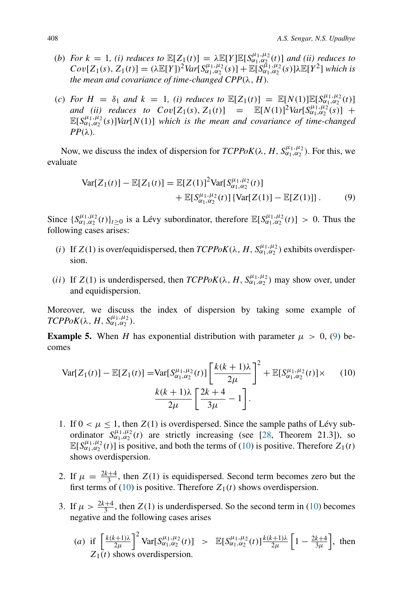- (b) *For*  $k = 1$ , (i) reduces to  $\mathbb{E}[Z_1(t)] = \lambda \mathbb{E}[Y] \mathbb{E}[S_{\alpha_1, \alpha_2}(t)]$  and (ii) reduces to  $Cov[Z_1(s), Z_1(t)] = (\lambda \mathbb{E}[Y])^2 Var[S_{\alpha_1,\alpha_2}^{\mu_1,\mu_2}(s)] + \mathbb{E}[S_{\alpha_1,\alpha_2}^{\tilde{\mu}_1,\mu_2}(s)]\lambda \mathbb{E}[Y^2]$  which is *the mean and covariance of time-changed CPP* $(\lambda, H)$ *.*
- (c) *For*  $H = \delta_1$  *and*  $k = 1$ , (*i*) *reduces to*  $\mathbb{E}[Z_1(t)] = \mathbb{E}[N(1)] \mathbb{E}[S_{\mu_1,\alpha_2}^{\mu_1,\mu_2}(t)]$ *and* (*ii)* reduces to  $Cov[Z_1(s), Z_1(t)] = \mathbb{E}[N(1)]^2 Var[S_{\alpha_1,\alpha_2}^{\mu_1,\mu_2}(s)] +$  $\mathbb{E}[S_{\alpha_1,\alpha_2}^{\mu_1,\mu_2}(s)]$ *Var*[N(1)] *which is the mean and covariance of time-changed PP*(λ)*.*

Now, we discuss the index of dispersion for  $TCPPoK(\lambda, H, S^{\mu_1,\mu_2}_{\alpha_1,\alpha_2})$ . For this, we evaluate

$$
\begin{split} \text{Var}[Z_1(t)] - \mathbb{E}[Z_1(t)] &= \mathbb{E}[Z(1)]^2 \text{Var}[S_{\alpha_1, \alpha_2}^{\mu_1, \mu_2}(t)] \\ &+ \mathbb{E}[S_{\alpha_1, \alpha_2}^{\mu_1, \mu_2}(t)] \left\{ \text{Var}[Z(1)] - \mathbb{E}[Z(1)] \right\}. \end{split} \tag{9}
$$

Since  $\{S_{\alpha_1,\alpha_2}^{\mu_1,\mu_2}(t)\}_{t\geq 0}$  is a Lévy subordinator, therefore  $\mathbb{E}[S_{\alpha_1,\alpha_2}^{\mu_1,\mu_2}(t)] > 0$ . Thus the following cases arises:

- (i) If  $Z(1)$  is over/equidispersed, then  $TCPPoK(\lambda, H, S_{\alpha_1,\alpha_2}^{\mu_1,\mu_2})$  exhibits overdispersion.
- (ii) If  $Z(1)$  is underdispersed, then  $TCPPoK(\lambda, H, S_{\alpha_1,\alpha_2}^{\mu_1,\mu_2})$  may show over, under and equidispersion.

Moreover, we discuss the index of dispersion by taking some example of  $TCPPoK(\lambda, H, S^{\mu_1,\mu_2}_{\alpha_1,\alpha_2}).$ 

**Example 5.** When H has exponential distribution with parameter  $\mu > 0$ , (9) becomes

$$
\text{Var}[Z_1(t)] - \mathbb{E}[Z_1(t)] = \text{Var}[S_{\alpha_1, \alpha_2}^{\mu_1, \mu_2}(t)] \left[ \frac{k(k+1)\lambda}{2\mu} \right]^2 + \mathbb{E}[S_{\alpha_1, \alpha_2}^{\mu_1, \mu_2}(t)] \times (10)
$$

$$
\frac{k(k+1)\lambda}{2\mu} \left[ \frac{2k+4}{3\mu} - 1 \right].
$$

- 1. If  $0 < \mu \leq 1$ , then  $Z(1)$  is overdispersed. Since the sample paths of Lévy subordinator  $S_{\alpha_1,\alpha_2}^{\mu_1,\mu_2}(t)$  are strictly increasing (see [28, Theorem 21.3]), so  $\mathbb{E}[S_{\alpha_1,\alpha_2}^{\mu_1,\mu_2}(t)]$  is positive, and both the terms of (10) is positive. Therefore  $Z_1(t)$ shows overdispersion.
- 2. If  $\mu = \frac{2k+4}{3}$ , then  $Z(1)$  is equidispersed. Second term becomes zero but the first terms of (10) is positive. Therefore  $Z_1(t)$  shows overdispersion.
- 3. If  $\mu > \frac{2k+4}{3}$ , then  $Z(1)$  is underdispersed. So the second term in (10) becomes negative and the following cases arises
	- (a) if  $\left[\frac{k(k+1)\lambda}{2\mu}\right]^2 \text{Var}[S_{\alpha_1,\alpha_2}^{\mu_1,\mu_2}(t)] > \mathbb{E}[S_{\alpha_1,\alpha_2}^{\mu_1,\mu_2}(t)]\frac{k(k+1)\lambda}{2\mu}\left[1-\frac{2k+4}{3\mu}\right],$  then  $Z_1(t)$  shows overdispersion.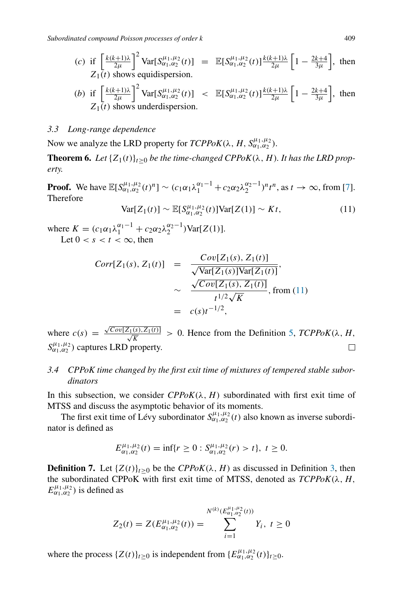*Subordinated compound Poisson processes of order* k 409

(c) if 
$$
\left[\frac{k(k+1)\lambda}{2\mu}\right]^2
$$
 Var $[S_{\alpha_1,\alpha_2}^{\mu_1,\mu_2}(t)] = \mathbb{E}[S_{\alpha_1,\alpha_2}^{\mu_1,\mu_2}(t)]\frac{k(k+1)\lambda}{2\mu}\left[1-\frac{2k+4}{3\mu}\right]$ , then  $Z_1(t)$  shows equidispersion.

(b) if 
$$
\left[\frac{k(k+1)\lambda}{2\mu}\right]^2
$$
 Var $[S_{\alpha_1,\alpha_2}^{\mu_1,\mu_2}(t)] < \mathbb{E}[S_{\alpha_1,\alpha_2}^{\mu_1,\mu_2}(t)]\frac{k(k+1)\lambda}{2\mu}\left[1-\frac{2k+4}{3\mu}\right]$ , then  $Z_1(t)$  shows underdispersion.

## *3.3 Long-range dependence*

Now we analyze the LRD property for  $TCPPoK(\lambda, H, S^{\mu_1, \mu_2}_{\alpha_1, \alpha_2})$ .

**Theorem 6.** *Let*  $\{Z_1(t)\}_{t\geq 0}$  *be the time-changed CPPoK*( $\lambda$ , *H*)*. It has the LRD property.*

**Proof.** We have  $\mathbb{E}[S_{\alpha_1,\alpha_2}^{\mu_1,\mu_2}(t)^n] \sim (c_1\alpha_1\lambda_1^{\alpha_1-1} + c_2\alpha_2\lambda_2^{\alpha_2-1})^n t^n$ , as  $t \to \infty$ , from [7]. Therefore

$$
\text{Var}[Z_1(t)] \sim \mathbb{E}[S_{\alpha_1,\alpha_2}^{\mu_1,\mu_2}(t)]\text{Var}[Z(1)] \sim Kt,\tag{11}
$$

where  $K = (c_1 \alpha_1 \lambda_1^{\alpha_1 - 1} + c_2 \alpha_2 \lambda_2^{\alpha_2 - 1}) \text{Var}[Z(1)].$ Let  $0 < s < t < \infty$ , then

$$
Corr[Z_1(s), Z_1(t)] = \frac{Cov[Z_1(s), Z_1(t)]}{\sqrt{\text{Var}[Z_1(s)]\text{Var}[Z_1(t)]}},
$$
  
 
$$
\sim \frac{\sqrt{Cov[Z_1(s), Z_1(t)]}}{t^{1/2}\sqrt{K}}, \text{ from (11)}
$$
  
 
$$
= c(s)t^{-1/2},
$$

where  $c(s) = \frac{\sqrt{Cov[Z_1(s), Z_1(t)]}}{\sqrt{K}} > 0$ . Hence from the Definition 5, *TCPPoK*( $\lambda$ , *H*,  $S^{\mu_1,\mu_2}_{\alpha_1,\alpha_2}$ ) captures LRD property. □

# *3.4 CPPoK time changed by the first exit time of mixtures of tempered stable subordinators*

In this subsection, we consider  $CPPoK(\lambda, H)$  subordinated with first exit time of MTSS and discuss the asymptotic behavior of its moments.

The first exit time of Lévy subordinator  $S_{\alpha_1,\alpha_2}^{\mu_1,\mu_2}(t)$  also known as inverse subordinator is defined as

$$
E_{\alpha_1,\alpha_2}^{\mu_1,\mu_2}(t) = \inf\{r \ge 0 : S_{\alpha_1,\alpha_2}^{\mu_1,\mu_2}(r) > t\}, t \ge 0.
$$

**Definition 7.** Let  $\{Z(t)\}_{t\geq 0}$  be the *CPPoK*( $\lambda$ , *H*) as discussed in Definition 3, then the subordinated CPPoK with first exit time of MTSS, denoted as  $TCPPoK(\lambda, H,$  $E_{\alpha_1,\alpha_2}^{\mu_1,\mu_2}$ ) is defined as

$$
Z_2(t) = Z(E_{\alpha_1,\alpha_2}^{\mu_1,\mu_2}(t)) = \sum_{i=1}^{N^{(k)}(E_{\alpha_1,\alpha_2}^{\mu_1,\mu_2}(t))} Y_i, \ t \ge 0
$$

where the process  $\{Z(t)\}_{t\geq 0}$  is independent from  $\{E_{\alpha_1,\alpha_2}^{\mu_1,\mu_2}(t)\}_{t\geq 0}$ .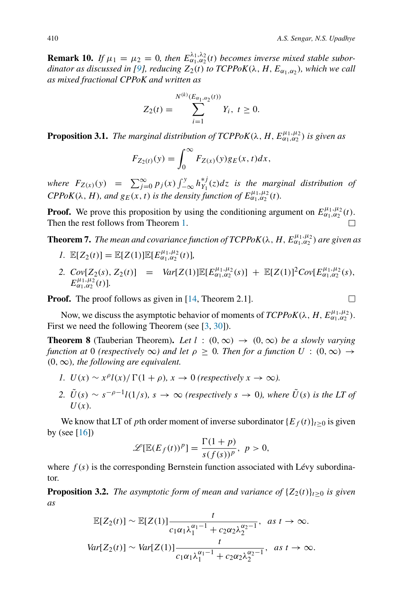**Remark 10.** If  $\mu_1 = \mu_2 = 0$ , then  $E^{\lambda_1, \lambda_2}_{\alpha_1, \alpha_2}(t)$  becomes inverse mixed stable subor $d$ *inator as discussed in [9], reducing*  $Z_2(t)$  *to TCPPoK*( $\lambda$ ,  $H$ ,  $E_{\alpha_1,\alpha_2}$ ), which we call *as mixed fractional CPPoK and written as*

$$
Z_2(t) = \sum_{i=1}^{N^{(k)}(E_{\alpha_1,\alpha_2}(t))} Y_i, \ t \ge 0.
$$

**Proposition 3.1.** *The marginal distribution of TCPPoK*( $\lambda$ , H,  $E_{\alpha_1,\alpha_2}^{\mu_1,\mu_2}$ ) is given as

$$
F_{Z_2(t)}(y) = \int_0^\infty F_{Z(x)}(y) g_E(x, t) dx,
$$

*where*  $F_{Z(x)}(y) = \sum_{j=0}^{\infty} p_j(x) \int_{-\infty}^{y} h_{Y_1}^{*j}(z) dz$  *is the marginal distribution of*  $CPPoK(\lambda, H)$ , and  $g_E(x, t)$  *is the density function of*  $E_{\alpha_1, \alpha_2}^{\mu_1, \mu_2}(t)$ *.* 

**Proof.** We prove this proposition by using the conditioning argument on  $E_{\alpha_1,\alpha_2}^{\mu_1,\mu_2}(t)$ . Then the rest follows from Theorem 1.

**Theorem 7.** *The mean and covariance function of*  $TCPPoK(\lambda, H, E^{\mu_1,\mu_2}_{\alpha_1,\alpha_2})$  *are given as* 

- *1*.  $\mathbb{E}[Z_2(t)] = \mathbb{E}[Z(1)] \mathbb{E}[E_{\alpha_1,\alpha_2}^{\mu_1,\mu_2}(t)],$
- 2.  $Cov[Z_2(s), Z_2(t)] = Var[Z(1)] \mathbb{E}[E_{\alpha_1,\alpha_2}^{\mu_1,\mu_2}(s)] + \mathbb{E}[Z(1)]^2 Cov[E_{\alpha_1,\alpha_2}^{\mu_1,\mu_2}(s)]$  $E_{\alpha_1,\alpha_2}^{\mu_1,\mu_2}(t)$ ].

**Proof.** The proof follows as given in [14, Theorem 2.1].

Now, we discuss the asymptotic behavior of moments of  $TCPPoK(\lambda, H, E^{\mu_1,\mu_2}_{\alpha_1,\alpha_2})$ . First we need the following Theorem (see [3, 30]).

**Theorem 8** (Tauberian Theorem). Let  $l : (0, \infty) \rightarrow (0, \infty)$  be a slowly varying *function at* 0 *(respectively*  $\infty$ *) and let*  $\rho \geq 0$ *. Then for a function*  $U : (0, \infty) \rightarrow$ (0,∞)*, the following are equivalent.*

- *1.*  $U(x) \sim x^{\rho} l(x) / \Gamma(1 + \rho), x \to 0$  *(respectively*  $x \to \infty$ *).*
- 2.  $\tilde{U}(s) \sim s^{-\rho-1} l(1/s), s \to \infty$  *(respectively*  $s \to 0$ *), where*  $\tilde{U}(s)$  *is the LT of*  $U(x)$ .

We know that LT of pth order moment of inverse subordinator  ${E_f(t)}_{t>0}$  is given by (see [16])

$$
\mathscr{L}[\mathbb{E}(E_f(t))^p] = \frac{\Gamma(1+p)}{s(f(s))^p}, \ p > 0,
$$

where  $f(s)$  is the corresponding Bernstein function associated with Lévy subordinator.

**Proposition 3.2.** *The asymptotic form of mean and variance of*  $\{Z_2(t)\}_{t\geq0}$  *is given as*

$$
\mathbb{E}[Z_2(t)] \sim \mathbb{E}[Z(1)] \frac{t}{c_1 \alpha_1 \lambda_1^{\alpha_1 - 1} + c_2 \alpha_2 \lambda_2^{\alpha_2 - 1}}, \quad \text{as } t \to \infty.
$$
  

$$
Var[Z_2(t)] \sim Var[Z(1)] \frac{t}{c_1 \alpha_1 \lambda_1^{\alpha_1 - 1} + c_2 \alpha_2 \lambda_2^{\alpha_2 - 1}}, \quad \text{as } t \to \infty.
$$

 $\Box$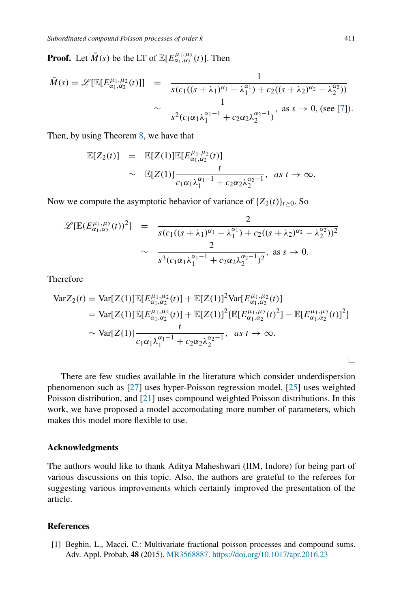**Proof.** Let  $\tilde{M}(s)$  be the LT of  $\mathbb{E}[E_{\alpha_1,\alpha_2}^{\mu_1,\mu_2}(t)]$ . Then

$$
\tilde{M}(s) = \mathscr{L}[\mathbb{E}[E_{\alpha_1,\alpha_2}^{\mu_1,\mu_2}(t)]] = \frac{1}{s(c_1((s+\lambda_1)^{\alpha_1}-\lambda_1^{\alpha_1})+c_2((s+\lambda_2)^{\alpha_2}-\lambda_2^{\alpha_2}))}
$$

$$
\sim \frac{1}{s^2(c_1\alpha_1\lambda_1^{\alpha_1-1}+c_2\alpha_2\lambda_2^{\alpha_2-1})}, \text{ as } s \to 0, \text{ (see [7]).}
$$

Then, by using Theorem 8, we have that

$$
\mathbb{E}[Z_2(t)] = \mathbb{E}[Z(1)]\mathbb{E}[E_{\alpha_1,\alpha_2}^{\mu_1,\mu_2}(t)]
$$
  
  $\sim \mathbb{E}[Z(1)] \frac{t}{c_1 \alpha_1 \lambda_1^{\alpha_1 - 1} + c_2 \alpha_2 \lambda_2^{\alpha_2 - 1}}, \text{ as } t \to \infty.$ 

Now we compute the asymptotic behavior of variance of  $\{Z_2(t)\}_t \geq 0$ . So

$$
\mathscr{L}[\mathbb{E}(E_{\alpha_1,\alpha_2}^{\mu_1,\mu_2}(t))^2] = \frac{2}{s(c_1((s+\lambda_1)^{\alpha_1}-\lambda_1^{\alpha_1})+c_2((s+\lambda_2)^{\alpha_2}-\lambda_2^{\alpha_2}))^2}
$$
  

$$
\sim \frac{2}{s^3(c_1\alpha_1\lambda_1^{\alpha_1-1}+c_2\alpha_2\lambda_2^{\alpha_2-1})^2}, \text{ as } s \to 0.
$$

**Therefore** 

$$
\begin{split} \text{VarZ}_{2}(t) &= \text{Var}[Z(1)] \mathbb{E}[E_{\alpha_{1},\alpha_{2}}^{\mu_{1},\mu_{2}}(t)] + \mathbb{E}[Z(1)]^{2} \text{Var}[E_{\alpha_{1},\alpha_{2}}^{\mu_{1},\mu_{2}}(t)] \\ &= \text{Var}[Z(1)] \mathbb{E}[E_{\alpha_{1},\alpha_{2}}^{\mu_{1},\mu_{2}}(t)] + \mathbb{E}[Z(1)]^{2} \{ \mathbb{E}[E_{\alpha_{1},\alpha_{2}}^{\mu_{1},\mu_{2}}(t)^{2}] - \mathbb{E}[E_{\alpha_{1},\alpha_{2}}^{\mu_{1},\mu_{2}}(t)]^{2} \} \\ &\sim \text{Var}[Z(1)] \frac{t}{c_{1}\alpha_{1}\lambda_{1}^{\alpha_{1}-1} + c_{2}\alpha_{2}\lambda_{2}^{\alpha_{2}-1}}, \quad as \ t \to \infty. \end{split}
$$

There are few studies available in the literature which consider underdispersion phenomenon such as [27] uses hyper-Poisson regression model, [25] uses weighted Poisson distribution, and [21] uses compound weighted Poisson distributions. In this work, we have proposed a model accomodating more number of parameters, which makes this model more flexible to use.

#### **Acknowledgments**

The authors would like to thank Aditya Maheshwari (IIM, Indore) for being part of various discussions on this topic. Also, the authors are grateful to the referees for suggesting various improvements which certainly improved the presentation of the article.

## **References**

[1] Beghin, L., Macci, C.: Multivariate fractional poisson processes and compound sums. Adv. Appl. Probab. **48** (2015). MR3568887. https://doi.org/10.1017/apr.2016.23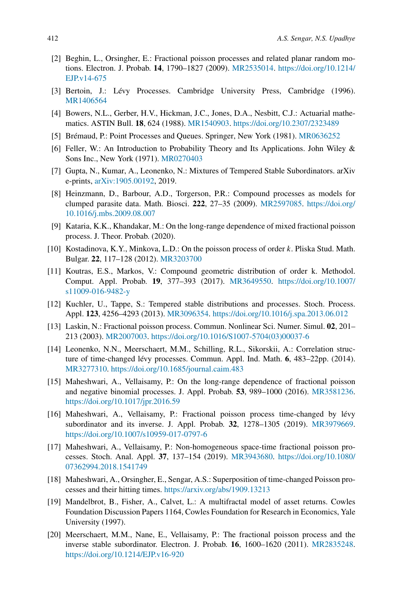- [2] Beghin, L., Orsingher, E.: Fractional poisson processes and related planar random motions. Electron. J. Probab. **14**, 1790–1827 (2009). MR2535014. https://doi.org/10.1214/ EJP.v14-675
- [3] Bertoin, J.: Lévy Processes. Cambridge University Press, Cambridge (1996). MR1406564
- [4] Bowers, N.L., Gerber, H.V., Hickman, J.C., Jones, D.A., Nesbitt, C.J.: Actuarial mathematics. ASTIN Bull. **18**, 624 (1988). MR1540903. https://doi.org/10.2307/2323489
- [5] Brémaud, P.: Point Processes and Queues. Springer, New York (1981). MR0636252
- [6] Feller, W.: An Introduction to Probability Theory and Its Applications. John Wiley & Sons Inc., New York (1971). MR0270403
- [7] Gupta, N., Kumar, A., Leonenko, N.: Mixtures of Tempered Stable Subordinators. arXiv e-prints, arXiv:1905.00192, 2019.
- [8] Heinzmann, D., Barbour, A.D., Torgerson, P.R.: Compound processes as models for clumped parasite data. Math. Biosci. **222**, 27–35 (2009). MR2597085. https://doi.org/ 10.1016/j.mbs.2009.08.007
- [9] Kataria, K.K., Khandakar, M.: On the long-range dependence of mixed fractional poisson process. J. Theor. Probab. (2020).
- [10] Kostadinova, K.Y., Minkova, L.D.: On the poisson process of order k. Pliska Stud. Math. Bulgar. **22**, 117–128 (2012). MR3203700
- [11] Koutras, E.S., Markos, V.: Compound geometric distribution of order k. Methodol. Comput. Appl. Probab. **19**, 377–393 (2017). MR3649550. https://doi.org/10.1007/ s11009-016-9482-y
- [12] Kuchler, U., Tappe, S.: Tempered stable distributions and processes. Stoch. Process. Appl. **123**, 4256–4293 (2013). MR3096354. https://doi.org/10.1016/j.spa.2013.06.012
- [13] Laskin, N.: Fractional poisson process. Commun. Nonlinear Sci. Numer. Simul. **02**, 201– 213 (2003). MR2007003. https://doi.org/10.1016/S1007-5704(03)00037-6
- [14] Leonenko, N.N., Meerschaert, M.M., Schilling, R.L., Sikorskii, A.: Correlation structure of time-changed lévy processes. Commun. Appl. Ind. Math. **6**, 483–22pp. (2014). MR3277310. https://doi.org/10.1685/journal.caim.483
- [15] Maheshwari, A., Vellaisamy, P.: On the long-range dependence of fractional poisson and negative binomial processes. J. Appl. Probab. **53**, 989–1000 (2016). MR3581236. https://doi.org/10.1017/jpr.2016.59
- [16] Maheshwari, A., Vellaisamy, P.: Fractional poisson process time-changed by lévy subordinator and its inverse. J. Appl. Probab. **32**, 1278–1305 (2019). MR3979669. https://doi.org/10.1007/s10959-017-0797-6
- [17] Maheshwari, A., Vellaisamy, P.: Non-homogeneous space-time fractional poisson processes. Stoch. Anal. Appl. **37**, 137–154 (2019). MR3943680. https://doi.org/10.1080/ 07362994.2018.1541749
- [18] Maheshwari, A., Orsingher, E., Sengar, A.S.: Superposition of time-changed Poisson processes and their hitting times. https://arxiv.org/abs/1909.13213
- [19] Mandelbrot, B., Fisher, A., Calvet, L.: A multifractal model of asset returns. Cowles Foundation Discussion Papers 1164, Cowles Foundation for Research in Economics, Yale University (1997).
- [20] Meerschaert, M.M., Nane, E., Vellaisamy, P.: The fractional poisson process and the inverse stable subordinator. Electron. J. Probab. **16**, 1600–1620 (2011). MR2835248. https://doi.org/10.1214/EJP.v16-920